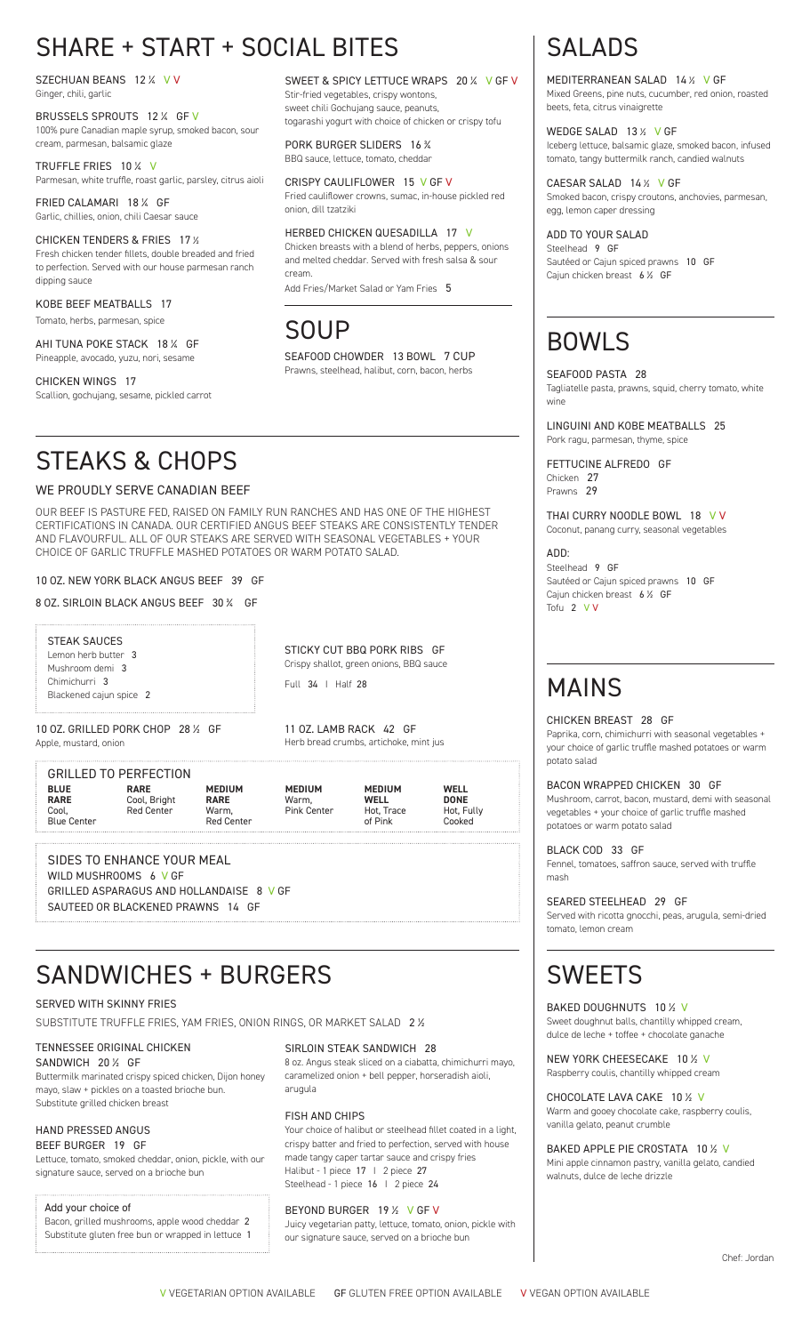# SHARE + START + SOCIAL BITES

SZECHUAN BEANS 12 % V V Ginger, chili, garlic

BRUSSELS SPROUTS 12 % GF V 100% pure Canadian maple syrup, smoked bacon, sour cream, parmesan, balsamic glaze

TRUFFLE FRIES 10 % V Parmesan, white truffle, roast garlic, parsley, citrus aioli

FRIED CALAMARI 18 1/4 GF Garlic, chillies, onion, chili Caesar sauce

CHICKEN TENDERS & FRIES 17 % Fresh chicken tender fillets, double breaded and fried to perfection. Served with our house parmesan ranch dipping sauce

KOBE BEEF MEATBALLS 17 Tomato, herbs, parmesan, spice

AHI TUNA POKE STACK 18 % GF Pineapple, avocado, yuzu, nori, sesame

CHICKEN WINGS 17 Scallion, gochujang, sesame, pickled carrot

SWEET & SPICY LETTUCE WRAPS 20 % V GF V Stir-fried vegetables, crispy wontons, sweet chili Gochujang sauce, peanuts, togarashi yogurt with choice of chicken or crispy tofu

PORK BURGER SLIDERS 16 % BBQ sauce, lettuce, tomato, cheddar

CRISPY CAULIFLOWER 15 V GF V Fried cauliflower crowns, sumac, in-house pickled red onion, dill tzatziki

HERBED CHICKEN QUESADILLA 17 V Chicken breasts with a blend of herbs, peppers, onions and melted cheddar. Served with fresh salsa & sour cream.

Add Fries/Market Salad or Yam Fries 5

## SOUP

SEAFOOD CHOWDER 13 BOWL 7 CUP Prawns, steelhead, halibut, corn, bacon, herbs

## STEAKS & CHOPS

#### WE PROUDLY SERVE CANADIAN BEEF

OUR BEEF IS PASTURE FED, RAISED ON FAMILY RUN RANCHES AND HAS ONE OF THE HIGHEST CERTIFICATIONS IN CANADA. OUR CERTIFIED ANGUS BEEF STEAKS ARE CONSISTENTLY TENDER AND FLAVOURFUL. ALL OF OUR STEAKS ARE SERVED WITH SEASONAL VEGETABLES + YOUR CHOICE OF GARLIC TRUFFLE MASHED POTATOES OR WARM POTATO SALAD.

#### 10 OZ. NEW YORK BLACK ANGUS BEEF 39 GF

8 OZ. SIRLOIN BLACK ANGUS BEEF 30 % GF

STEAK SAUCES Lemon herb butter 3 Mushroom demi 3 Chimichurri 3 Blackened cajun spice 2

STICKY CUT BBQ PORK RIBS GF Crispy shallot, green onions, BBQ sauce Full 34 I Half 28

11 OZ. LAMB RACK 42 GF Herb bread crumbs, artichoke, mint jus

10 OZ. GRILLED PORK CHOP 28 1/2 GF Apple, mustard, onion

GRILLED TO PERFECTION

**BLUE RARE** Cool, Blue Center **RARE** Cool, Bright Red Center **MEDIUM RARE** Warm, Red Center **MEDIUM** Warm, Pink Center **MEDIUM WELL** Hot, Trace of Pink **WELL DONE** Hot, Fully Cooked

SIDES TO ENHANCE YOUR MEAL WILD MUSHROOMS 6 V GF GRILLED ASPARAGUS AND HOLLANDAISE 8 V GF SAUTEED OR BLACKENED PRAWNS 14 GF

## SANDWICHES + BURGERS

#### SERVED WITH SKINNY FRIES

SUBSTITUTE TRUFFLE FRIES, YAM FRIES, ONION RINGS, OR MARKET SALAD 2 1/2

#### TENNESSEE ORIGINAL CHICKEN

#### SANDWICH 20 1/2 GF

Buttermilk marinated crispy spiced chicken, Dijon honey mayo, slaw + pickles on a toasted brioche bun. Substitute grilled chicken breast

#### HAND PRESSED ANGUS BEEF BURGER 19 GF

Lettuce, tomato, smoked cheddar, onion, pickle, with our signature sauce, served on a brioche bun

#### Add your choice of

Bacon, grilled mushrooms, apple wood cheddar 2 Substitute gluten free bun or wrapped in lettuce 1

#### SIRLOIN STEAK SANDWICH 28

8 oz. Angus steak sliced on a ciabatta, chimichurri mayo, caramelized onion + bell pepper, horseradish aioli, arugula

#### FISH AND CHIPS

Your choice of halibut or steelhead fillet coated in a light, crispy batter and fried to perfection, served with house made tangy caper tartar sauce and crispy fries Halibut - 1 piece 17 I 2 piece 27 Steelhead - 1 piece 16 | 2 piece 24

#### BEYOND BURGER 19 1/2 V GF V

Juicy vegetarian patty, lettuce, tomato, onion, pickle with our signature sauce, served on a brioche bun

# SALADS

MEDITERRANEAN SALAD 14 1/2 V GF Mixed Greens, pine nuts, cucumber, red onion, roasted beets, feta, citrus vinaigrette

WEDGE SALAD 13 1/2 V GF Iceberg lettuce, balsamic glaze, smoked bacon, infused tomato, tangy buttermilk ranch, candied walnuts

CAESAR SALAD 14 1/2 V GF Smoked bacon, crispy croutons, anchovies, parmesan, egg, lemon caper dressing

ADD TO YOUR SALAD Steelhead 9 GF Sautéed or Cajun spiced prawns 10 GF Cajun chicken breast  $6\frac{1}{2}$  GF

# BOWLS

#### SEAFOOD PASTA 28

Tagliatelle pasta, prawns, squid, cherry tomato, white wine

LINGUINI AND KOBE MEATBALLS 25 Pork ragu, parmesan, thyme, spice

FETTUCINE ALFREDO GF Chicken 27 Prawns 29

THAI CURRY NOODLE BOWL 18 V V Coconut, panang curry, seasonal vegetables

ADD: Steelhead 9 GF Sautéed or Cajun spiced prawns 10 GF Cajun chicken breast  $6\frac{1}{2}$  GF Tofu 2 V V

# MAINS

#### CHICKEN BREAST 28 GF

Paprika, corn, chimichurri with seasonal vegetables + your choice of garlic truffle mashed potatoes or warm potato salad

#### BACON WRAPPED CHICKEN 30 GF

Mushroom, carrot, bacon, mustard, demi with seasonal vegetables + your choice of garlic truffle mashed potatoes or warm potato salad

BLACK COD 33 GF Fennel, tomatoes, saffron sauce, served with truffle mash

SEARED STEELHEAD 29 GF

Served with ricotta gnocchi, peas, arugula, semi-dried tomato, lemon cream

# **SWEETS**

BAKED DOUGHNUTS 10 1/2 V Sweet doughnut balls, chantilly whipped cream, dulce de leche + toffee + chocolate ganache

NEW YORK CHEESECAKE 10 1/2 V Raspberry coulis, chantilly whipped cream

CHOCOLATE LAVA CAKE 10 % V Warm and gooey chocolate cake, raspberry coulis, vanilla gelato, peanut crumble

BAKED APPLE PIE CROSTATA 10 1/2 V Mini apple cinnamon pastry, vanilla gelato, candied walnuts, dulce de leche drizzle